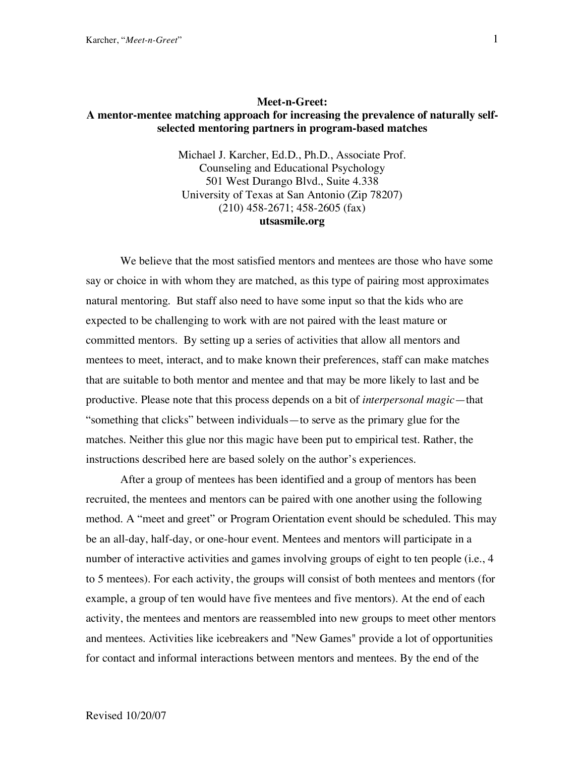## **Meet-n-Greet: A mentor-mentee matching approach for increasing the prevalence of naturally selfselected mentoring partners in program-based matches**

Michael J. Karcher, Ed.D., Ph.D., Associate Prof. Counseling and Educational Psychology 501 West Durango Blvd., Suite 4.338 University of Texas at San Antonio (Zip 78207) (210) 458-2671; 458-2605 (fax) **utsasmile.org** 

We believe that the most satisfied mentors and mentees are those who have some say or choice in with whom they are matched, as this type of pairing most approximates natural mentoring. But staff also need to have some input so that the kids who are expected to be challenging to work with are not paired with the least mature or committed mentors. By setting up a series of activities that allow all mentors and mentees to meet, interact, and to make known their preferences, staff can make matches that are suitable to both mentor and mentee and that may be more likely to last and be productive. Please note that this process depends on a bit of *interpersonal magic*—that "something that clicks" between individuals—to serve as the primary glue for the matches. Neither this glue nor this magic have been put to empirical test. Rather, the instructions described here are based solely on the author's experiences.

After a group of mentees has been identified and a group of mentors has been recruited, the mentees and mentors can be paired with one another using the following method. A "meet and greet" or Program Orientation event should be scheduled. This may be an all-day, half-day, or one-hour event. Mentees and mentors will participate in a number of interactive activities and games involving groups of eight to ten people (i.e., 4 to 5 mentees). For each activity, the groups will consist of both mentees and mentors (for example, a group of ten would have five mentees and five mentors). At the end of each activity, the mentees and mentors are reassembled into new groups to meet other mentors and mentees. Activities like icebreakers and "New Games" provide a lot of opportunities for contact and informal interactions between mentors and mentees. By the end of the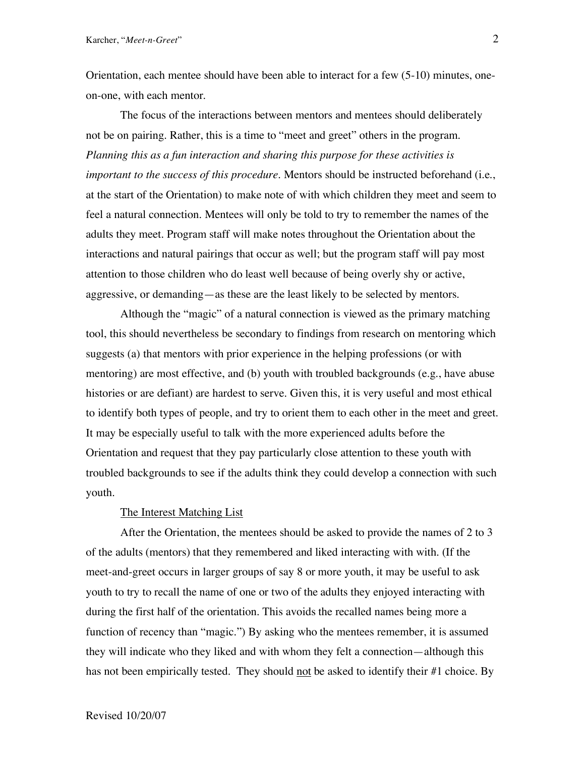Orientation, each mentee should have been able to interact for a few (5-10) minutes, oneon-one, with each mentor.

The focus of the interactions between mentors and mentees should deliberately not be on pairing. Rather, this is a time to "meet and greet" others in the program. *Planning this as a fun interaction and sharing this purpose for these activities is important to the success of this procedure*. Mentors should be instructed beforehand (i.e., at the start of the Orientation) to make note of with which children they meet and seem to feel a natural connection. Mentees will only be told to try to remember the names of the adults they meet. Program staff will make notes throughout the Orientation about the interactions and natural pairings that occur as well; but the program staff will pay most attention to those children who do least well because of being overly shy or active, aggressive, or demanding—as these are the least likely to be selected by mentors.

Although the "magic" of a natural connection is viewed as the primary matching tool, this should nevertheless be secondary to findings from research on mentoring which suggests (a) that mentors with prior experience in the helping professions (or with mentoring) are most effective, and (b) youth with troubled backgrounds (e.g., have abuse histories or are defiant) are hardest to serve. Given this, it is very useful and most ethical to identify both types of people, and try to orient them to each other in the meet and greet. It may be especially useful to talk with the more experienced adults before the Orientation and request that they pay particularly close attention to these youth with troubled backgrounds to see if the adults think they could develop a connection with such youth.

## The Interest Matching List

After the Orientation, the mentees should be asked to provide the names of 2 to 3 of the adults (mentors) that they remembered and liked interacting with with. (If the meet-and-greet occurs in larger groups of say 8 or more youth, it may be useful to ask youth to try to recall the name of one or two of the adults they enjoyed interacting with during the first half of the orientation. This avoids the recalled names being more a function of recency than "magic.") By asking who the mentees remember, it is assumed they will indicate who they liked and with whom they felt a connection—although this has not been empirically tested. They should not be asked to identify their #1 choice. By

2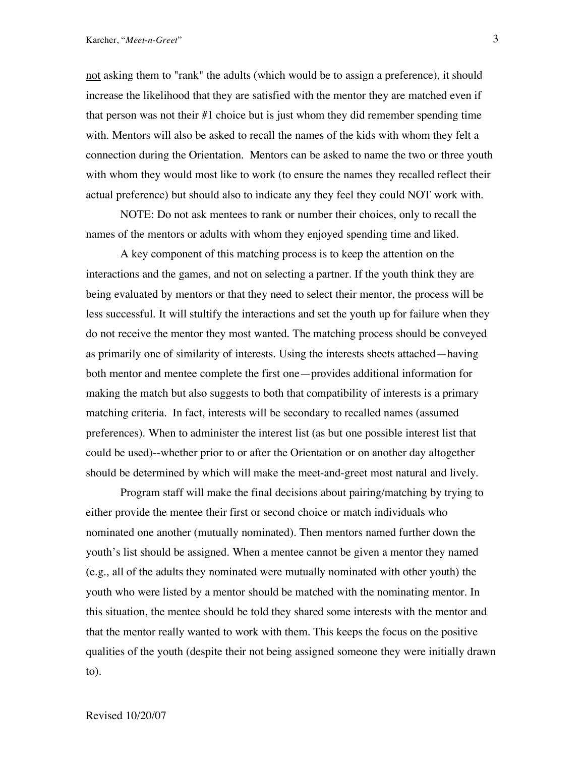not asking them to "rank" the adults (which would be to assign a preference), it should increase the likelihood that they are satisfied with the mentor they are matched even if that person was not their #1 choice but is just whom they did remember spending time with. Mentors will also be asked to recall the names of the kids with whom they felt a connection during the Orientation. Mentors can be asked to name the two or three youth with whom they would most like to work (to ensure the names they recalled reflect their actual preference) but should also to indicate any they feel they could NOT work with.

NOTE: Do not ask mentees to rank or number their choices, only to recall the names of the mentors or adults with whom they enjoyed spending time and liked.

A key component of this matching process is to keep the attention on the interactions and the games, and not on selecting a partner. If the youth think they are being evaluated by mentors or that they need to select their mentor, the process will be less successful. It will stultify the interactions and set the youth up for failure when they do not receive the mentor they most wanted. The matching process should be conveyed as primarily one of similarity of interests. Using the interests sheets attached—having both mentor and mentee complete the first one—provides additional information for making the match but also suggests to both that compatibility of interests is a primary matching criteria. In fact, interests will be secondary to recalled names (assumed preferences). When to administer the interest list (as but one possible interest list that could be used)--whether prior to or after the Orientation or on another day altogether should be determined by which will make the meet-and-greet most natural and lively.

Program staff will make the final decisions about pairing/matching by trying to either provide the mentee their first or second choice or match individuals who nominated one another (mutually nominated). Then mentors named further down the youth's list should be assigned. When a mentee cannot be given a mentor they named (e.g., all of the adults they nominated were mutually nominated with other youth) the youth who were listed by a mentor should be matched with the nominating mentor. In this situation, the mentee should be told they shared some interests with the mentor and that the mentor really wanted to work with them. This keeps the focus on the positive qualities of the youth (despite their not being assigned someone they were initially drawn to).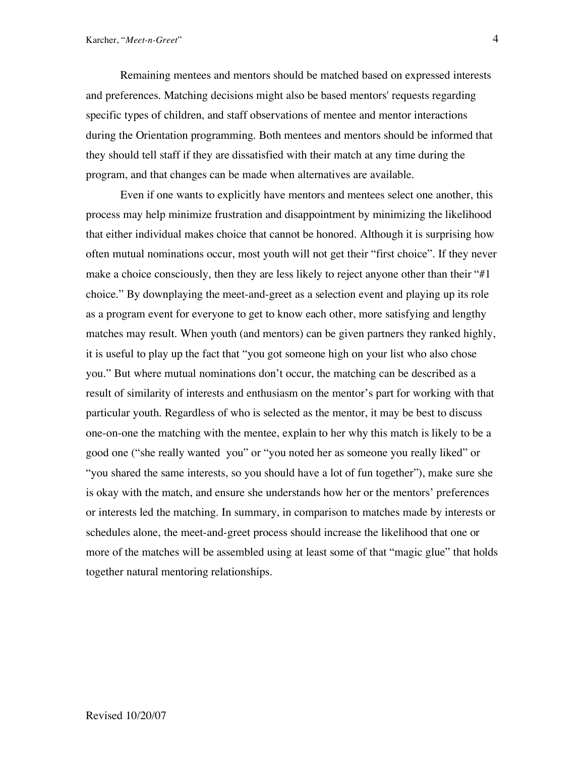Remaining mentees and mentors should be matched based on expressed interests and preferences. Matching decisions might also be based mentors' requests regarding specific types of children, and staff observations of mentee and mentor interactions during the Orientation programming. Both mentees and mentors should be informed that they should tell staff if they are dissatisfied with their match at any time during the program, and that changes can be made when alternatives are available.

Even if one wants to explicitly have mentors and mentees select one another, this process may help minimize frustration and disappointment by minimizing the likelihood that either individual makes choice that cannot be honored. Although it is surprising how often mutual nominations occur, most youth will not get their "first choice". If they never make a choice consciously, then they are less likely to reject anyone other than their " $\#1$ " choice." By downplaying the meet-and-greet as a selection event and playing up its role as a program event for everyone to get to know each other, more satisfying and lengthy matches may result. When youth (and mentors) can be given partners they ranked highly, it is useful to play up the fact that "you got someone high on your list who also chose you." But where mutual nominations don't occur, the matching can be described as a result of similarity of interests and enthusiasm on the mentor's part for working with that particular youth. Regardless of who is selected as the mentor, it may be best to discuss one-on-one the matching with the mentee, explain to her why this match is likely to be a good one ("she really wanted you" or "you noted her as someone you really liked" or "you shared the same interests, so you should have a lot of fun together"), make sure she is okay with the match, and ensure she understands how her or the mentors' preferences or interests led the matching. In summary, in comparison to matches made by interests or schedules alone, the meet-and-greet process should increase the likelihood that one or more of the matches will be assembled using at least some of that "magic glue" that holds together natural mentoring relationships.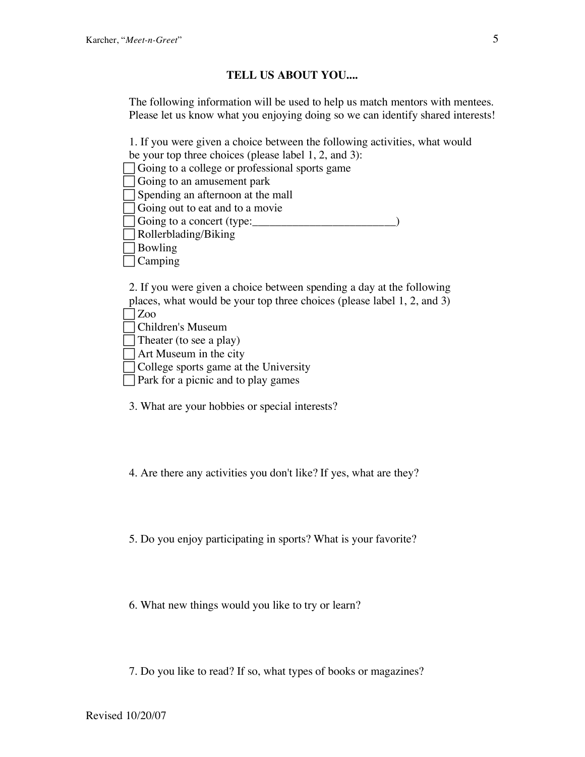## **TELL US ABOUT YOU....**

The following information will be used to help us match mentors with mentees. Please let us know what you enjoying doing so we can identify shared interests!

1. If you were given a choice between the following activities, what would be your top three choices (please label 1, 2, and 3):

Going to a college or professional sports game

Going to an amusement park

Spending an afternoon at the mall

Going out to eat and to a movie

 $\Box$  Going to a concert (type:

Rollerblading/Biking

Bowling

Camping

2. If you were given a choice between spending a day at the following places, what would be your top three choices (please label 1, 2, and 3)

 $\exists$  Zoo Children's Museum

Theater (to see a play)

Art Museum in the city

College sports game at the University

Park for a picnic and to play games

3. What are your hobbies or special interests?

4. Are there any activities you don't like? If yes, what are they?

5. Do you enjoy participating in sports? What is your favorite?

6. What new things would you like to try or learn?

7. Do you like to read? If so, what types of books or magazines?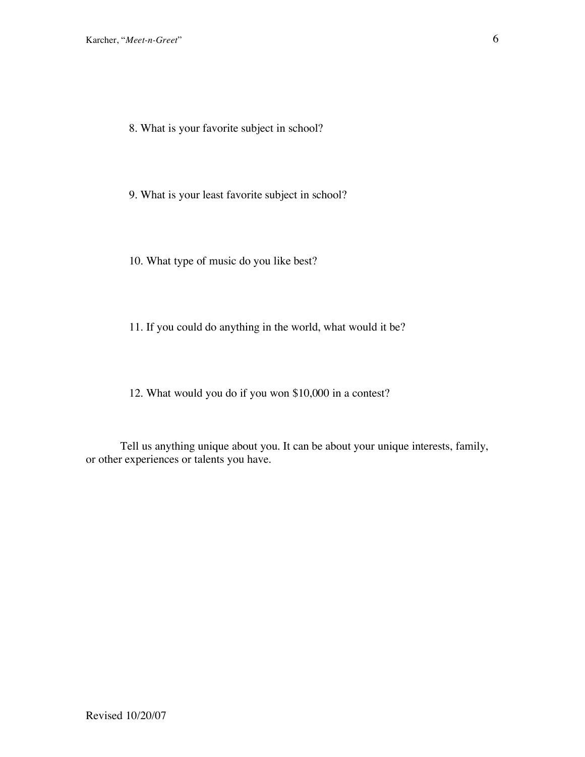- 8. What is your favorite subject in school?
- 9. What is your least favorite subject in school?
- 10. What type of music do you like best?
- 11. If you could do anything in the world, what would it be?
- 12. What would you do if you won \$10,000 in a contest?

Tell us anything unique about you. It can be about your unique interests, family, or other experiences or talents you have.